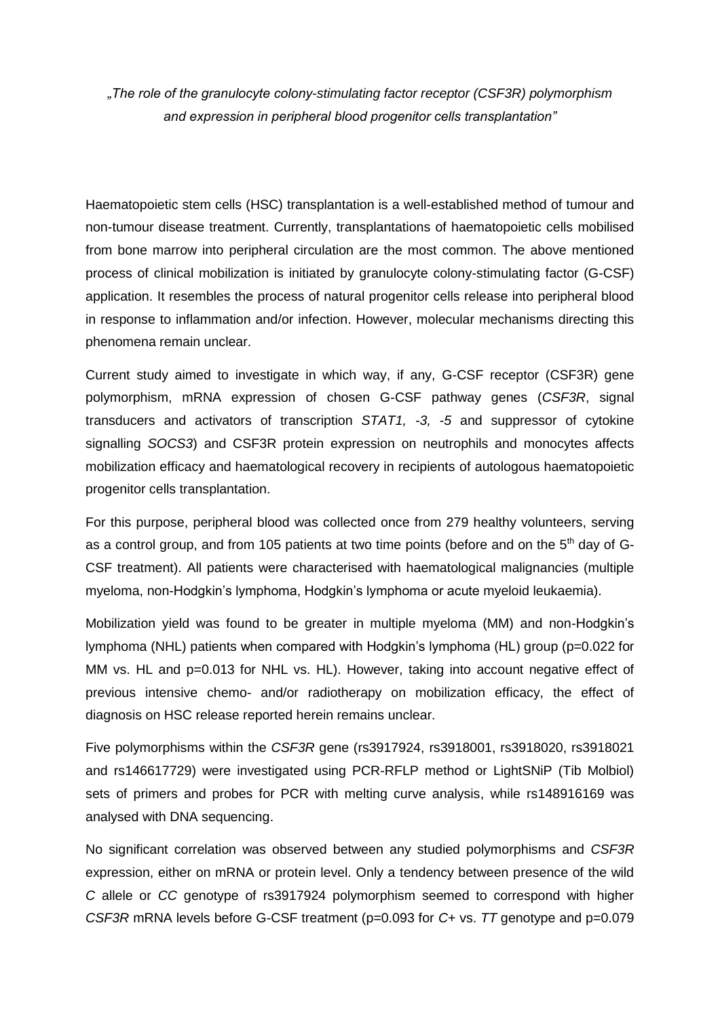*"The role of the granulocyte colony-stimulating factor receptor (CSF3R) polymorphism and expression in peripheral blood progenitor cells transplantation"*

Haematopoietic stem cells (HSC) transplantation is a well-established method of tumour and non-tumour disease treatment. Currently, transplantations of haematopoietic cells mobilised from bone marrow into peripheral circulation are the most common. The above mentioned process of clinical mobilization is initiated by granulocyte colony-stimulating factor (G-CSF) application. It resembles the process of natural progenitor cells release into peripheral blood in response to inflammation and/or infection. However, molecular mechanisms directing this phenomena remain unclear.

Current study aimed to investigate in which way, if any, G-CSF receptor (CSF3R) gene polymorphism, mRNA expression of chosen G-CSF pathway genes (*CSF3R*, signal transducers and activators of transcription *STAT1, -3, -5* and suppressor of cytokine signalling *SOCS3*) and CSF3R protein expression on neutrophils and monocytes affects mobilization efficacy and haematological recovery in recipients of autologous haematopoietic progenitor cells transplantation.

For this purpose, peripheral blood was collected once from 279 healthy volunteers, serving as a control group, and from 105 patients at two time points (before and on the  $5<sup>th</sup>$  day of G-CSF treatment). All patients were characterised with haematological malignancies (multiple myeloma, non-Hodgkin's lymphoma, Hodgkin's lymphoma or acute myeloid leukaemia).

Mobilization yield was found to be greater in multiple myeloma (MM) and non-Hodgkin's lymphoma (NHL) patients when compared with Hodgkin's lymphoma (HL) group (p=0.022 for MM vs. HL and p=0.013 for NHL vs. HL). However, taking into account negative effect of previous intensive chemo- and/or radiotherapy on mobilization efficacy, the effect of diagnosis on HSC release reported herein remains unclear.

Five polymorphisms within the *CSF3R* gene (rs3917924, rs3918001, rs3918020, rs3918021 and rs146617729) were investigated using PCR-RFLP method or LightSNiP (Tib Molbiol) sets of primers and probes for PCR with melting curve analysis, while rs148916169 was analysed with DNA sequencing.

No significant correlation was observed between any studied polymorphisms and *CSF3R* expression, either on mRNA or protein level. Only a tendency between presence of the wild *C* allele or *CC* genotype of rs3917924 polymorphism seemed to correspond with higher *CSF3R* mRNA levels before G-CSF treatment (p=0.093 for *C+* vs. *TT* genotype and p=0.079